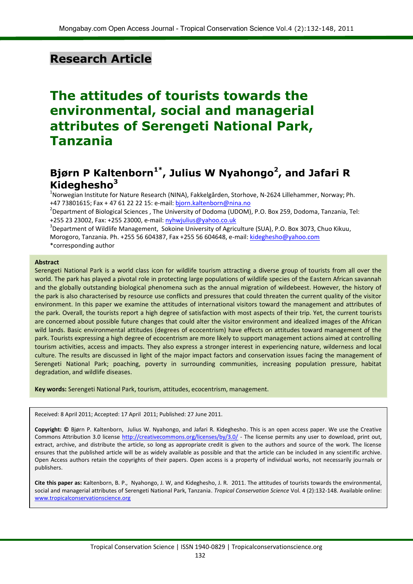## **Research Article**

# **The attitudes of tourists towards the environmental, social and managerial attributes of Serengeti National Park, Tanzania**

## **Bjørn P Kaltenborn1\* , Julius W Nyahongo<sup>2</sup> , and Jafari R Kideghesho<sup>3</sup>**

1 Norwegian Institute for Nature Research (NINA), Fakkelgården, Storhove, N-2624 Lillehammer, Norway; Ph. +47 73801615; Fax + 47 61 22 22 15: e-mail: [bjorn.kaltenborn@nina.no](mailto:bjorn.kaltenborn@nina.no)

<sup>2</sup>Department of Biological Sciences, The University of Dodoma (UDOM), P.O. Box 259, Dodoma, Tanzania, Tel: +255 23 23002, Fax: +255 23000, e-mail[: nyhwjulius@yahoo.co.uk](mailto:nyhwjulius@yahoo.co.uk)

3 Department of Wildlife Management, Sokoine University of Agriculture (SUA), P.O. Box 3073, Chuo Kikuu, Morogoro, Tanzania. Ph. +255 56 604387, Fax +255 56 604648, e-mail[: kideghesho@yahoo.com](mailto:kideghesho@yahoo.com) \*corresponding author

#### **Abstract**

Serengeti National Park is a world class icon for wildlife tourism attracting a diverse group of tourists from all over the world. The park has played a pivotal role in protecting large populations of wildlife species of the Eastern African savannah and the globally outstanding biological phenomena such as the annual migration of wildebeest. However, the history of the park is also characterised by resource use conflicts and pressures that could threaten the current quality of the visitor environment. In this paper we examine the attitudes of international visitors toward the management and attributes of the park. Overall, the tourists report a high degree of satisfaction with most aspects of their trip. Yet, the current tourists are concerned about possible future changes that could alter the visitor environment and idealized images of the African wild lands. Basic environmental attitudes (degrees of ecocentrism) have effects on attitudes toward management of the park. Tourists expressing a high degree of ecocentrism are more likely to support management actions aimed at controlling tourism activities, access and impacts. They also express a stronger interest in experiencing nature, wilderness and local culture. The results are discussed in light of the major impact factors and conservation issues facing the management of Serengeti National Park; poaching, poverty in surrounding communities, increasing population pressure, habitat degradation, and wildlife diseases.

**Key words:** Serengeti National Park, tourism, attitudes, ecocentrism, management.

Received: 8 April 2011; Accepted: 17 April 2011; Published: 27 June 2011.

**Copyright: ©** Bjørn P. Kaltenborn, Julius W. Nyahongo, and Jafari R. Kideghesho. This is an open access paper. We use the Creative Commons Attribution 3.0 license<http://creativecommons.org/licenses/by/3.0/> - The license permits any user to download, print out, extract, archive, and distribute the article, so long as appropriate credit is given to the authors and source of the work. The license ensures that the published article will be as widely available as possible and that the article can be included in any scientific archive. Open Access authors retain the copyrights of their papers. Open access is a property of individual works, not necessarily journals or publishers.

**Cite this paper as:** Kaltenborn, B. P., Nyahongo, J. W, and Kideghesho, J. R. 2011. The attitudes of tourists towards the environmental, social and managerial attributes of Serengeti National Park, Tanzania. *Tropical Conservation Science* Vol. 4 (2):132-148. Available online: [www.tropicalconservationscience.org](http://www.tropicalconservationscience.org/)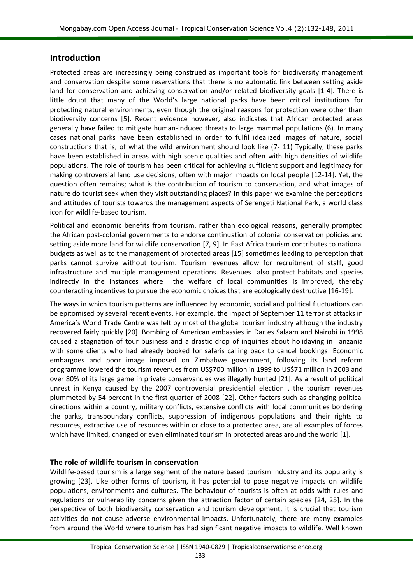## **Introduction**

Protected areas are increasingly being construed as important tools for biodiversity management and conservation despite some reservations that there is no automatic link between setting aside land for conservation and achieving conservation and/or related biodiversity goals [1-4]. There is little doubt that many of the World's large national parks have been critical institutions for protecting natural environments, even though the original reasons for protection were other than biodiversity concerns [5]. Recent evidence however, also indicates that African protected areas generally have failed to mitigate human-induced threats to large mammal populations (6). In many cases national parks have been established in order to fulfil idealized images of nature, social constructions that is, of what the wild environment should look like (7- 11) Typically, these parks have been established in areas with high scenic qualities and often with high densities of wildlife populations. The role of tourism has been critical for achieving sufficient support and legitimacy for making controversial land use decisions, often with major impacts on local people [12-14]. Yet, the question often remains; what is the contribution of tourism to conservation, and what images of nature do tourist seek when they visit outstanding places? In this paper we examine the perceptions and attitudes of tourists towards the management aspects of Serengeti National Park, a world class icon for wildlife-based tourism.

Political and economic benefits from tourism, rather than ecological reasons, generally prompted the African post-colonial governments to endorse continuation of colonial conservation policies and setting aside more land for wildlife conservation [7, 9]. In East Africa tourism contributes to national budgets as well as to the management of protected areas [15] sometimes leading to perception that parks cannot survive without tourism. Tourism revenues allow for recruitment of staff, good infrastructure and multiple management operations. Revenues also protect habitats and species indirectly in the instances where the welfare of local communities is improved, thereby counteracting incentives to pursue the economic choices that are ecologically destructive [16-19].

The ways in which tourism patterns are influenced by economic, social and political fluctuations can be epitomised by several recent events. For example, the impact of September 11 terrorist attacks in America's World Trade Centre was felt by most of the global tourism industry although the industry recovered fairly quickly [20]. Bombing of American embassies in Dar es Salaam and Nairobi in 1998 caused a stagnation of tour business and a drastic drop of inquiries about holidaying in Tanzania with some clients who had already booked for safaris calling back to cancel bookings. Economic embargoes and poor image imposed on Zimbabwe government, following its land reform programme lowered the tourism revenues from US\$700 million in 1999 to US\$71 million in 2003 and over 80% of its large game in private conservancies was illegally hunted [21]. As a result of political unrest in Kenya caused by the 2007 controversial [presidential election](http://en.wikipedia.org/wiki/Kenyan_presidential_election,_2007) , the tourism revenues plummeted by 54 percent in the first quarter of 2008 [22]. Other factors such as changing political directions within a country, military conflicts, extensive conflicts with local communities bordering the parks, transboundary conflicts, suppression of indigenous populations and their rights to resources, extractive use of resources within or close to a protected area, are all examples of forces which have limited, changed or even eliminated tourism in protected areas around the world [1].

#### **The role of wildlife tourism in conservation**

Wildlife-based tourism is a large segment of the nature based tourism industry and its popularity is growing [23]. Like other forms of tourism, it has potential to pose negative impacts on wildlife populations, environments and cultures. The behaviour of tourists is often at odds with rules and regulations or vulnerability concerns given the attraction factor of certain species [24, 25]. In the perspective of both biodiversity conservation and tourism development, it is crucial that tourism activities do not cause adverse environmental impacts. Unfortunately, there are many examples from around the World where tourism has had significant negative impacts to wildlife. Well known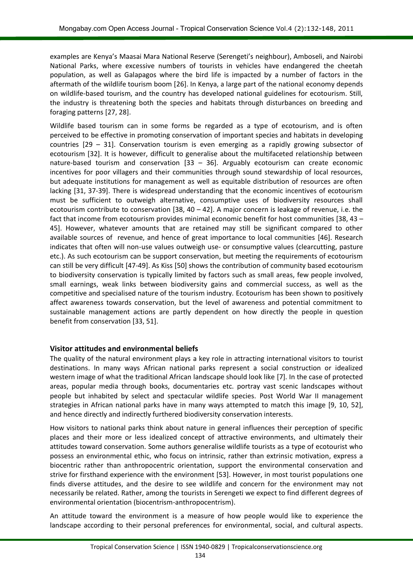examples are Kenya's Maasai Mara National Reserve (Serengeti's neighbour), Amboseli, and Nairobi National Parks, where excessive numbers of tourists in vehicles have endangered the cheetah population, as well as Galapagos where the bird life is impacted by a number of factors in the aftermath of the wildlife tourism boom [26]. In Kenya, a large part of the national economy depends on wildlife-based tourism, and the country has developed national guidelines for ecotourism. Still, the industry is threatening both the species and habitats through disturbances on breeding and foraging patterns [27, 28].

Wildlife based tourism can in some forms be regarded as a type of ecotourism, and is often perceived to be effective in promoting conservation of important species and habitats in developing countries  $[29 - 31]$ . Conservation tourism is even emerging as a rapidly growing subsector of ecotourism [32]. It is however, difficult to generalise about the multifaceted relationship between nature-based tourism and conservation  $[33 - 36]$ . Arguably ecotourism can create economic incentives for poor villagers and their communities through sound stewardship of local resources, but adequate institutions for management as well as equitable distribution of resources are often lacking [31, 37-39]. There is widespread understanding that the economic incentives of ecotourism must be sufficient to outweigh alternative, consumptive uses of biodiversity resources shall ecotourism contribute to conservation [38, 40 – 42]. A major concern is leakage of revenue, i.e. the fact that income from ecotourism provides minimal economic benefit for host communities [38, 43 – 45]. However, whatever amounts that are retained may still be significant compared to other available sources of revenue, and hence of great importance to local communities [46]. Research indicates that often will non-use values outweigh use- or consumptive values (clearcutting, pasture etc.). As such ecotourism can be support conservation, but meeting the requirements of ecotourism can still be very difficult [47-49]. As Kiss [50] shows the contribution of community based ecotourism to biodiversity conservation is typically limited by factors such as small areas, few people involved, small earnings, weak links between biodiversity gains and commercial success, as well as the competitive and specialised nature of the tourism industry. Ecotourism has been shown to positively affect awareness towards conservation, but the level of awareness and potential commitment to sustainable management actions are partly dependent on how directly the people in question benefit from conservation [33, 51].

## **Visitor attitudes and environmental beliefs**

The quality of the natural environment plays a key role in attracting international visitors to tourist destinations. In many ways African national parks represent a social construction or idealized western image of what the traditional African landscape should look like [7]. In the case of protected areas, popular media through books, documentaries etc. portray vast scenic landscapes without people but inhabited by select and spectacular wildlife species. Post World War II management strategies in African national parks have in many ways attempted to match this image [9, 10, 52], and hence directly and indirectly furthered biodiversity conservation interests.

How visitors to national parks think about nature in general influences their perception of specific places and their more or less idealized concept of attractive environments, and ultimately their attitudes toward conservation. Some authors generalise wildlife tourists as a type of ecotourist who possess an environmental ethic, who focus on intrinsic, rather than extrinsic motivation, express a biocentric rather than anthropocentric orientation, support the environmental conservation and strive for firsthand experience with the environment [53]. However, in most tourist populations one finds diverse attitudes, and the desire to see wildlife and concern for the environment may not necessarily be related. Rather, among the tourists in Serengeti we expect to find different degrees of environmental orientation (biocentrism-anthropocentrism).

An attitude toward the environment is a measure of how people would like to experience the landscape according to their personal preferences for environmental, social, and cultural aspects.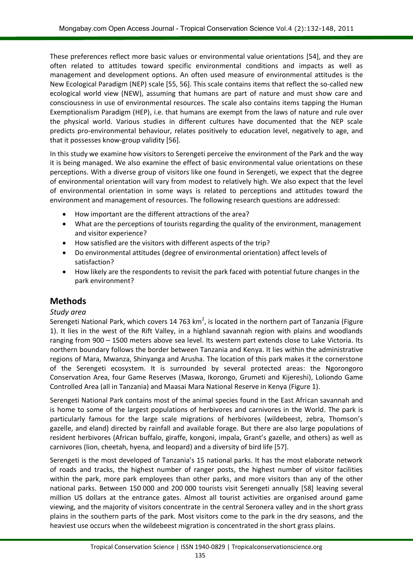These preferences reflect more basic values or environmental value orientations [54], and they are often related to attitudes toward specific environmental conditions and impacts as well as management and development options. An often used measure of environmental attitudes is the New Ecological Paradigm (NEP) scale [55, 56]. This scale contains items that reflect the so-called new ecological world view (NEW), assuming that humans are part of nature and must show care and consciousness in use of environmental resources. The scale also contains items tapping the Human Exemptionalism Paradigm (HEP), i.e. that humans are exempt from the laws of nature and rule over the physical world. Various studies in different cultures have documented that the NEP scale predicts pro-environmental behaviour, relates positively to education level, negatively to age, and that it possesses know-group validity [56].

In this study we examine how visitors to Serengeti perceive the environment of the Park and the way it is being managed. We also examine the effect of basic environmental value orientations on these perceptions. With a diverse group of visitors like one found in Serengeti, we expect that the degree of environmental orientation will vary from modest to relatively high. We also expect that the level of environmental orientation in some ways is related to perceptions and attitudes toward the environment and management of resources. The following research questions are addressed:

- How important are the different attractions of the area?
- What are the perceptions of tourists regarding the quality of the environment, management and visitor experience?
- How satisfied are the visitors with different aspects of the trip?
- Do environmental attitudes (degree of environmental orientation) affect levels of satisfaction?
- How likely are the respondents to revisit the park faced with potential future changes in the park environment?

## **Methods**

## *Study area*

Serengeti National Park, which covers 14 763 km<sup>2</sup>, is located in the northern part of Tanzania (Figure 1). It lies in the west of the Rift Valley, in a highland savannah region with plains and woodlands ranging from 900 – 1500 meters above sea level. Its western part extends close to Lake Victoria. Its northern boundary follows the border between Tanzania and Kenya. It lies within the administrative regions of Mara, Mwanza, Shinyanga and Arusha. The location of this park makes it the cornerstone of the Serengeti ecosystem. It is surrounded by several protected areas: the Ngorongoro Conservation Area, four Game Reserves (Maswa, Ikorongo, Grumeti and Kijereshi), Loliondo Game Controlled Area (all in Tanzania) and Maasai Mara National Reserve in Kenya (Figure 1).

Serengeti National Park contains most of the animal species found in the East African savannah and is home to some of the largest populations of herbivores and carnivores in the World. The park is particularly famous for the large scale migrations of herbivores (wildebeest, zebra, Thomson's gazelle, and eland) directed by rainfall and available forage. But there are also large populations of resident herbivores (African buffalo, giraffe, kongoni, impala, Grant's gazelle, and others) as well as carnivores (lion, cheetah, hyena, and leopard) and a diversity of bird life [57].

Serengeti is the most developed of Tanzania's 15 national parks. It has the most elaborate network of roads and tracks, the highest number of ranger posts, the highest number of visitor facilities within the park, more park employees than other parks, and more visitors than any of the other national parks. Between 150 000 and 200 000 tourists visit Serengeti annually [58] leaving several million US dollars at the entrance gates. Almost all tourist activities are organised around game viewing, and the majority of visitors concentrate in the central Seronera valley and in the short grass plains in the southern parts of the park. Most visitors come to the park in the dry seasons, and the heaviest use occurs when the wildebeest migration is concentrated in the short grass plains.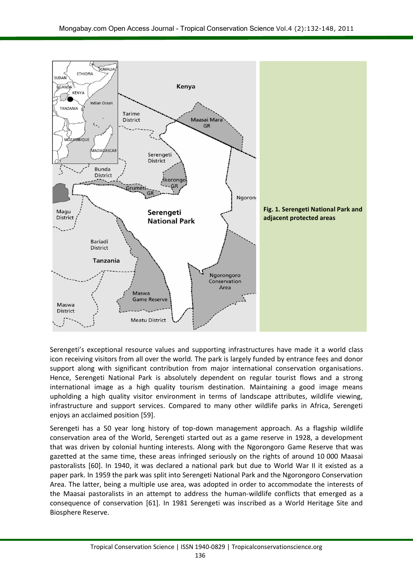

Serengeti's exceptional resource values and supporting infrastructures have made it a world class icon receiving visitors from all over the world. The park is largely funded by entrance fees and donor support along with significant contribution from major international conservation organisations. Hence, Serengeti National Park is absolutely dependent on regular tourist flows and a strong international image as a high quality tourism destination. Maintaining a good image means upholding a high quality visitor environment in terms of landscape attributes, wildlife viewing, infrastructure and support services. Compared to many other wildlife parks in Africa, Serengeti enjoys an acclaimed position [59].

Serengeti has a 50 year long history of top-down management approach. As a flagship wildlife conservation area of the World, Serengeti started out as a game reserve in 1928, a development that was driven by colonial hunting interests. Along with the Ngorongoro Game Reserve that was gazetted at the same time, these areas infringed seriously on the rights of around 10 000 Maasai pastoralists [60]. In 1940, it was declared a national park but due to World War II it existed as a paper park. In 1959 the park was split into Serengeti National Park and the Ngorongoro Conservation Area. The latter, being a multiple use area, was adopted in order to accommodate the interests of the Maasai pastoralists in an attempt to address the human-wildlife conflicts that emerged as a consequence of conservation [61]. In 1981 Serengeti was inscribed as a World Heritage Site and Biosphere Reserve.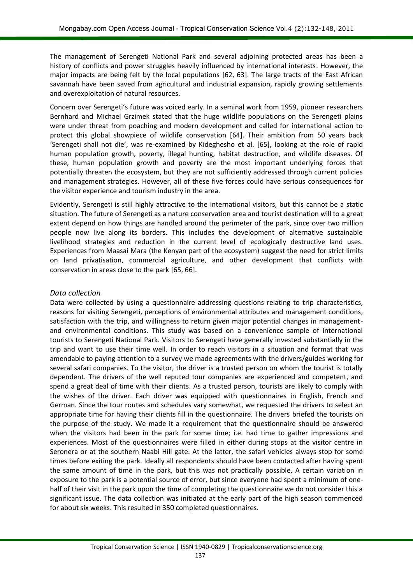The management of Serengeti National Park and several adjoining protected areas has been a history of conflicts and power struggles heavily influenced by international interests. However, the major impacts are being felt by the local populations [62, 63]. The large tracts of the East African savannah have been saved from agricultural and industrial expansion, rapidly growing settlements and overexploitation of natural resources.

Concern over Serengeti's future was voiced early. In a seminal work from 1959, pioneer researchers Bernhard and Michael Grzimek stated that the huge wildlife populations on the Serengeti plains were under threat from poaching and modern development and called for international action to protect this global showpiece of wildlife conservation [64]. Their ambition from 50 years back 'Serengeti shall not die', was re-examined by Kideghesho et al. [65], looking at the role of rapid human population growth, poverty, illegal hunting, habitat destruction, and wildlife diseases. Of these, human population growth and poverty are the most important underlying forces that potentially threaten the ecosystem, but they are not sufficiently addressed through current policies and management strategies. However, all of these five forces could have serious consequences for the visitor experience and tourism industry in the area.

Evidently, Serengeti is still highly attractive to the international visitors, but this cannot be a static situation. The future of Serengeti as a nature conservation area and tourist destination will to a great extent depend on how things are handled around the perimeter of the park, since over two million people now live along its borders. This includes the development of alternative sustainable livelihood strategies and reduction in the current level of ecologically destructive land uses. Experiences from Maasai Mara (the Kenyan part of the ecosystem) suggest the need for strict limits on land privatisation, commercial agriculture, and other development that conflicts with conservation in areas close to the park [65, 66].

### *Data collection*

Data were collected by using a questionnaire addressing questions relating to trip characteristics, reasons for visiting Serengeti, perceptions of environmental attributes and management conditions, satisfaction with the trip, and willingness to return given major potential changes in managementand environmental conditions. This study was based on a convenience sample of international tourists to Serengeti National Park. Visitors to Serengeti have generally invested substantially in the trip and want to use their time well. In order to reach visitors in a situation and format that was amendable to paying attention to a survey we made agreements with the drivers/guides working for several safari companies. To the visitor, the driver is a trusted person on whom the tourist is totally dependent. The drivers of the well reputed tour companies are experienced and competent, and spend a great deal of time with their clients. As a trusted person, tourists are likely to comply with the wishes of the driver. Each driver was equipped with questionnaires in English, French and German. Since the tour routes and schedules vary somewhat, we requested the drivers to select an appropriate time for having their clients fill in the questionnaire. The drivers briefed the tourists on the purpose of the study. We made it a requirement that the questionnaire should be answered when the visitors had been in the park for some time; i.e. had time to gather impressions and experiences. Most of the questionnaires were filled in either during stops at the visitor centre in Seronera or at the southern Naabi Hill gate. At the latter, the safari vehicles always stop for some times before exiting the park. Ideally all respondents should have been contacted after having spent the same amount of time in the park, but this was not practically possible, A certain variation in exposure to the park is a potential source of error, but since everyone had spent a minimum of onehalf of their visit in the park upon the time of completing the questionnaire we do not consider this a significant issue. The data collection was initiated at the early part of the high season commenced for about six weeks. This resulted in 350 completed questionnaires.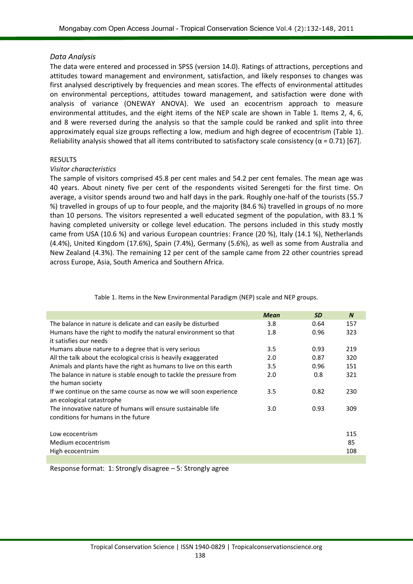#### *Data Analysis*

The data were entered and processed in SPSS (version 14.0). Ratings of attractions, perceptions and attitudes toward management and environment, satisfaction, and likely responses to changes was first analysed descriptively by frequencies and mean scores. The effects of environmental attitudes on environmental perceptions, attitudes toward management, and satisfaction were done with analysis of variance (ONEWAY ANOVA). We used an ecocentrism approach to measure environmental attitudes, and the eight items of the NEP scale are shown in Table 1. Items 2, 4, 6, and 8 were reversed during the analysis so that the sample could be ranked and split into three approximately equal size groups reflecting a low, medium and high degree of ecocentrism (Table 1). Reliability analysis showed that all items contributed to satisfactory scale consistency ( $\alpha$  = 0.71) [67].

#### RESULTS

#### *Visitor characteristics*

The sample of visitors comprised 45.8 per cent males and 54.2 per cent females. The mean age was 40 years. About ninety five per cent of the respondents visited Serengeti for the first time. On average, a visitor spends around two and half days in the park. Roughly one-half of the tourists (55.7 %) travelled in groups of up to four people, and the majority (84.6 %) travelled in groups of no more than 10 persons. The visitors represented a well educated segment of the population, with 83.1 % having completed university or college level education. The persons included in this study mostly came from USA (10.6 %) and various European countries: France (20 %), Italy (14.1 %), Netherlands (4.4%), United Kingdom (17.6%), Spain (7.4%), Germany (5.6%), as well as some from Australia and New Zealand (4.3%). The remaining 12 per cent of the sample came from 22 other countries spread across Europe, Asia, South America and Southern Africa.

|                                                                    | <b>Mean</b> | <b>SD</b> | <sub>N</sub> |
|--------------------------------------------------------------------|-------------|-----------|--------------|
| The balance in nature is delicate and can easily be disturbed      | 3.8         | 0.64      | 157          |
| Humans have the right to modify the natural environment so that    | 1.8         | 0.96      | 323          |
| it satisfies our needs                                             |             |           |              |
| Humans abuse nature to a degree that is very serious               | 3.5         | 0.93      | 219          |
| All the talk about the ecological crisis is heavily exaggerated    | 2.0         | 0.87      | 320          |
| Animals and plants have the right as humans to live on this earth  | 3.5         | 0.96      | 151          |
| The balance in nature is stable enough to tackle the pressure from | 2.0         | 0.8       | 321          |
| the human society                                                  |             |           |              |
| If we continue on the same course as now we will soon experience   | 3.5         | 0.82      | 230          |
| an ecological catastrophe                                          |             |           |              |
| The innovative nature of humans will ensure sustainable life       | 3.0         | 0.93      | 309          |
| conditions for humans in the future                                |             |           |              |
|                                                                    |             |           |              |
| Low ecocentrism                                                    |             |           | 115          |
| Medium ecocentrism                                                 |             |           | 85           |
| High ecocentrsim                                                   |             |           | 108          |
|                                                                    |             |           |              |

Table 1. Items in the New Environmental Paradigm (NEP) scale and NEP groups.

Response format: 1: Strongly disagree – 5: Strongly agree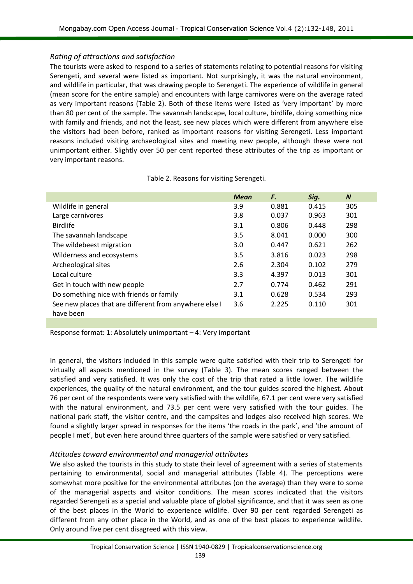### *Rating of attractions and satisfaction*

The tourists were asked to respond to a series of statements relating to potential reasons for visiting Serengeti, and several were listed as important. Not surprisingly, it was the natural environment, and wildlife in particular, that was drawing people to Serengeti. The experience of wildlife in general (mean score for the entire sample) and encounters with large carnivores were on the average rated as very important reasons (Table 2). Both of these items were listed as 'very important' by more than 80 per cent of the sample. The savannah landscape, local culture, birdlife, doing something nice with family and friends, and not the least, see new places which were different from anywhere else the visitors had been before, ranked as important reasons for visiting Serengeti. Less important reasons included visiting archaeological sites and meeting new people, although these were not unimportant either. Slightly over 50 per cent reported these attributes of the trip as important or very important reasons.

#### Table 2. Reasons for visiting Serengeti.

|                                                                     | <b>Mean</b> | F.    | Sig.  | $\boldsymbol{N}$ |
|---------------------------------------------------------------------|-------------|-------|-------|------------------|
| Wildlife in general                                                 | 3.9         | 0.881 | 0.415 | 305              |
| Large carnivores                                                    | 3.8         | 0.037 | 0.963 | 301              |
| <b>Birdlife</b>                                                     | 3.1         | 0.806 | 0.448 | 298              |
| The savannah landscape                                              | 3.5         | 8.041 | 0.000 | 300              |
| The wildebeest migration                                            | 3.0         | 0.447 | 0.621 | 262              |
| Wilderness and ecosystems                                           | 3.5         | 3.816 | 0.023 | 298              |
| Archeological sites                                                 | 2.6         | 2.304 | 0.102 | 279              |
| Local culture                                                       | 3.3         | 4.397 | 0.013 | 301              |
| Get in touch with new people                                        | 2.7         | 0.774 | 0.462 | 291              |
| Do something nice with friends or family                            | 3.1         | 0.628 | 0.534 | 293              |
| See new places that are different from anywhere else I<br>have been | 3.6         | 2.225 | 0.110 | 301              |

Response format: 1: Absolutely unimportant – 4: Very important

In general, the visitors included in this sample were quite satisfied with their trip to Serengeti for virtually all aspects mentioned in the survey (Table 3). The mean scores ranged between the satisfied and very satisfied. It was only the cost of the trip that rated a little lower. The wildlife experiences, the quality of the natural environment, and the tour guides scored the highest. About 76 per cent of the respondents were very satisfied with the wildlife, 67.1 per cent were very satisfied with the natural environment, and 73.5 per cent were very satisfied with the tour guides. The national park staff, the visitor centre, and the campsites and lodges also received high scores. We found a slightly larger spread in responses for the items 'the roads in the park', and 'the amount of people I met', but even here around three quarters of the sample were satisfied or very satisfied.

## *Attitudes toward environmental and managerial attributes*

We also asked the tourists in this study to state their level of agreement with a series of statements pertaining to environmental, social and managerial attributes (Table 4). The perceptions were somewhat more positive for the environmental attributes (on the average) than they were to some of the managerial aspects and visitor conditions. The mean scores indicated that the visitors regarded Serengeti as a special and valuable place of global significance, and that it was seen as one of the best places in the World to experience wildlife. Over 90 per cent regarded Serengeti as different from any other place in the World, and as one of the best places to experience wildlife. Only around five per cent disagreed with this view.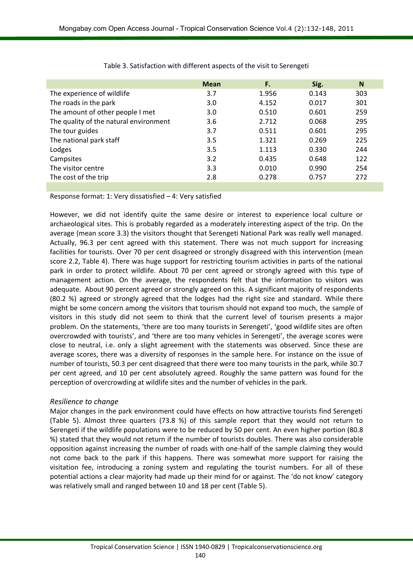|                                        | <b>Mean</b> | F.    | Sig.  | N   |
|----------------------------------------|-------------|-------|-------|-----|
| The experience of wildlife             | 3.7         | 1.956 | 0.143 | 303 |
| The roads in the park                  | 3.0         | 4.152 | 0.017 | 301 |
| The amount of other people I met       | 3.0         | 0.510 | 0.601 | 259 |
| The quality of the natural environment | 3.6         | 2.712 | 0.068 | 295 |
| The tour guides                        | 3.7         | 0.511 | 0.601 | 295 |
| The national park staff                | 3.5         | 1.321 | 0.269 | 225 |
| Lodges                                 | 3.5         | 1.113 | 0.330 | 244 |
| Campsites                              | 3.2         | 0.435 | 0.648 | 122 |
| The visitor centre                     | 3.3         | 0.010 | 0.990 | 254 |
| The cost of the trip                   | 2.8         | 0.278 | 0.757 | 272 |
|                                        |             |       |       |     |

Table 3. Satisfaction with different aspects of the visit to Serengeti

Response format: 1: Very dissatisfied – 4: Very satisfied

However, we did not identify quite the same desire or interest to experience local culture or archaeological sites. This is probably regarded as a moderately interesting aspect of the trip. On the average (mean score 3.3) the visitors thought that Serengeti National Park was really well managed. Actually, 96.3 per cent agreed with this statement. There was not much support for increasing facilities for tourists. Over 70 per cent disagreed or strongly disagreed with this intervention (mean score 2.2, Table 4). There was huge support for restricting tourism activities in parts of the national park in order to protect wildlife. About 70 per cent agreed or strongly agreed with this type of management action. On the average, the respondents felt that the information to visitors was adequate. About 90 percent agreed or strongly agreed on this. A significant majority of respondents (80.2 %) agreed or strongly agreed that the lodges had the right size and standard. While there might be some concern among the visitors that tourism should not expand too much, the sample of visitors in this study did not seem to think that the current level of tourism presents a major problem. On the statements, 'there are too many tourists in Serengeti', 'good wildlife sites are often overcrowded with tourists', and 'there are too many vehicles in Serengeti', the average scores were close to neutral, i.e. only a slight agreement with the statements was observed. Since these are average scores, there was a diversity of responses in the sample here. For instance on the issue of number of tourists, 50.3 per cent disagreed that there were too many tourists in the park, while 30.7 per cent agreed, and 10 per cent absolutely agreed. Roughly the same pattern was found for the perception of overcrowding at wildlife sites and the number of vehicles in the park.

## *Resilience to change*

Major changes in the park environment could have effects on how attractive tourists find Serengeti (Table 5). Almost three quarters (73.8 %) of this sample report that they would not return to Serengeti if the wildlife populations were to be reduced by 50 per cent. An even higher portion (80.8 %) stated that they would not return if the number of tourists doubles. There was also considerable opposition against increasing the number of roads with one-half of the sample claiming they would not come back to the park if this happens. There was somewhat more support for raising the visitation fee, introducing a zoning system and regulating the tourist numbers. For all of these potential actions a clear majority had made up their mind for or against. The 'do not know' category was relatively small and ranged between 10 and 18 per cent (Table 5).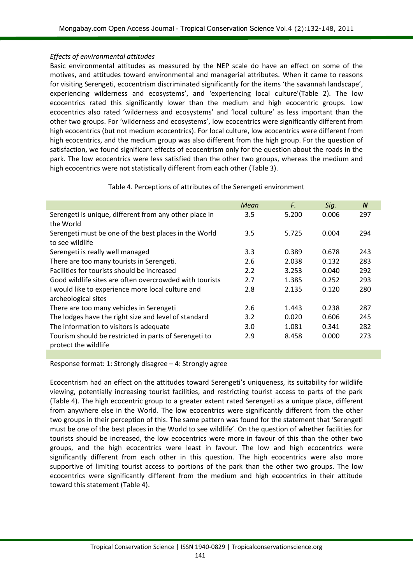#### *Effects of environmental attitudes*

Basic environmental attitudes as measured by the NEP scale do have an effect on some of the motives, and attitudes toward environmental and managerial attributes. When it came to reasons for visiting Serengeti, ecocentrism discriminated significantly for the items 'the savannah landscape', experiencing wilderness and ecosystems', and 'experiencing local culture'(Table 2). The low ecocentrics rated this significantly lower than the medium and high ecocentric groups. Low ecocentrics also rated 'wilderness and ecosystems' and 'local culture' as less important than the other two groups. For 'wilderness and ecosystems', low ecocentrics were significantly different from high ecocentrics (but not medium ecocentrics). For local culture, low ecocentrics were different from high ecocentrics, and the medium group was also different from the high group. For the question of satisfaction, we found significant effects of ecocentrism only for the question about the roads in the park. The low ecocentrics were less satisfied than the other two groups, whereas the medium and high ecocentrics were not statistically different from each other (Table 3).

#### Table 4. Perceptions of attributes of the Serengeti environment

|                                                                               | Mean | F.    | Sig.  | $\boldsymbol{N}$ |
|-------------------------------------------------------------------------------|------|-------|-------|------------------|
| Serengeti is unique, different from any other place in<br>the World           | 3.5  | 5.200 | 0.006 | 297              |
|                                                                               |      |       |       |                  |
| Serengeti must be one of the best places in the World<br>to see wildlife      | 3.5  | 5.725 | 0.004 | 294              |
| Serengeti is really well managed                                              | 3.3  | 0.389 | 0.678 | 243              |
| There are too many tourists in Serengeti.                                     | 2.6  | 2.038 | 0.132 | 283              |
| Facilities for tourists should be increased                                   | 2.2  | 3.253 | 0.040 | 292              |
| Good wildlife sites are often overcrowded with tourists                       | 2.7  | 1.385 | 0.252 | 293              |
| I would like to experience more local culture and                             | 2.8  | 2.135 | 0.120 | 280              |
| archeological sites                                                           |      |       |       |                  |
| There are too many vehicles in Serengeti                                      | 2.6  | 1.443 | 0.238 | 287              |
| The lodges have the right size and level of standard                          | 3.2  | 0.020 | 0.606 | 245              |
| The information to visitors is adequate                                       | 3.0  | 1.081 | 0.341 | 282              |
| Tourism should be restricted in parts of Serengeti to<br>protect the wildlife | 2.9  | 8.458 | 0.000 | 273              |

Response format: 1: Strongly disagree – 4: Strongly agree

Ecocentrism had an effect on the attitudes toward Serengeti's uniqueness, its suitability for wildlife viewing, potentially increasing tourist facilities, and restricting tourist access to parts of the park (Table 4). The high ecocentric group to a greater extent rated Serengeti as a unique place, different from anywhere else in the World. The low ecocentrics were significantly different from the other two groups in their perception of this. The same pattern was found for the statement that 'Serengeti must be one of the best places in the World to see wildlife'. On the question of whether facilities for tourists should be increased, the low ecocentrics were more in favour of this than the other two groups, and the high ecocentrics were least in favour. The low and high ecocentrics were significantly different from each other in this question. The high ecocentrics were also more supportive of limiting tourist access to portions of the park than the other two groups. The low ecocentrics were significantly different from the medium and high ecocentrics in their attitude toward this statement (Table 4).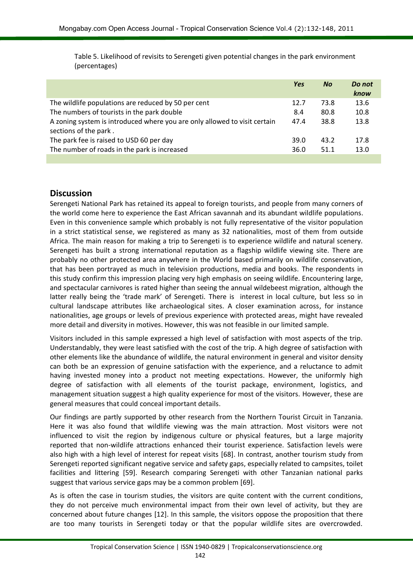Table 5. Likelihood of revisits to Serengeti given potential changes in the park environment (percentages)

|                                                                                                    | <b>Yes</b> | <b>No</b> | Do not<br>know |
|----------------------------------------------------------------------------------------------------|------------|-----------|----------------|
| The wildlife populations are reduced by 50 per cent                                                | 12.7       | 73.8      | 13.6           |
| The numbers of tourists in the park double                                                         | 8.4        | 80.8      | 10.8           |
| A zoning system is introduced where you are only allowed to visit certain<br>sections of the park. | 47.4       | 38.8      | 13.8           |
| The park fee is raised to USD 60 per day                                                           | 39.0       | 43.2      | 17.8           |
| The number of roads in the park is increased                                                       | 36.0       | 51.1      | 13.0           |
|                                                                                                    |            |           |                |

## **Discussion**

Serengeti National Park has retained its appeal to foreign tourists, and people from many corners of the world come here to experience the East African savannah and its abundant wildlife populations. Even in this convenience sample which probably is not fully representative of the visitor population in a strict statistical sense, we registered as many as 32 nationalities, most of them from outside Africa. The main reason for making a trip to Serengeti is to experience wildlife and natural scenery. Serengeti has built a strong international reputation as a flagship wildlife viewing site. There are probably no other protected area anywhere in the World based primarily on wildlife conservation, that has been portrayed as much in television productions, media and books. The respondents in this study confirm this impression placing very high emphasis on seeing wildlife. Encountering large, and spectacular carnivores is rated higher than seeing the annual wildebeest migration, although the latter really being the 'trade mark' of Serengeti. There is interest in local culture, but less so in cultural landscape attributes like archaeological sites. A closer examination across, for instance nationalities, age groups or levels of previous experience with protected areas, might have revealed more detail and diversity in motives. However, this was not feasible in our limited sample.

Visitors included in this sample expressed a high level of satisfaction with most aspects of the trip. Understandably, they were least satisfied with the cost of the trip. A high degree of satisfaction with other elements like the abundance of wildlife, the natural environment in general and visitor density can both be an expression of genuine satisfaction with the experience, and a reluctance to admit having invested money into a product not meeting expectations. However, the uniformly high degree of satisfaction with all elements of the tourist package, environment, logistics, and management situation suggest a high quality experience for most of the visitors. However, these are general measures that could conceal important details.

Our findings are partly supported by other research from the Northern Tourist Circuit in Tanzania. Here it was also found that wildlife viewing was the main attraction. Most visitors were not influenced to visit the region by indigenous culture or physical features, but a large majority reported that non-wildlife attractions enhanced their tourist experience. Satisfaction levels were also high with a high level of interest for repeat visits [68]. In contrast, another tourism study from Serengeti reported significant negative service and safety gaps, especially related to campsites, toilet facilities and littering [59]. Research comparing Serengeti with other Tanzanian national parks suggest that various service gaps may be a common problem [69].

As is often the case in tourism studies, the visitors are quite content with the current conditions, they do not perceive much environmental impact from their own level of activity, but they are concerned about future changes [12]. In this sample, the visitors oppose the proposition that there are too many tourists in Serengeti today or that the popular wildlife sites are overcrowded.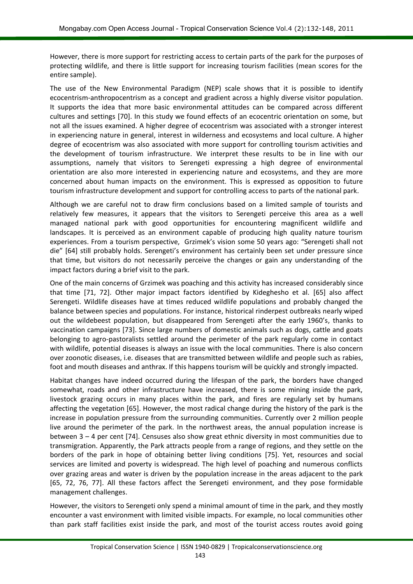However, there is more support for restricting access to certain parts of the park for the purposes of protecting wildlife, and there is little support for increasing tourism facilities (mean scores for the entire sample).

The use of the New Environmental Paradigm (NEP) scale shows that it is possible to identify ecocentrism-anthropocentrism as a concept and gradient across a highly diverse visitor population. It supports the idea that more basic environmental attitudes can be compared across different cultures and settings [70]. In this study we found effects of an ecocentric orientation on some, but not all the issues examined. A higher degree of ecocentrism was associated with a stronger interest in experiencing nature in general, interest in wilderness and ecosystems and local culture. A higher degree of ecocentrism was also associated with more support for controlling tourism activities and the development of tourism infrastructure. We interpret these results to be in line with our assumptions, namely that visitors to Serengeti expressing a high degree of environmental orientation are also more interested in experiencing nature and ecosystems, and they are more concerned about human impacts on the environment. This is expressed as opposition to future tourism infrastructure development and support for controlling access to parts of the national park.

Although we are careful not to draw firm conclusions based on a limited sample of tourists and relatively few measures, it appears that the visitors to Serengeti perceive this area as a well managed national park with good opportunities for encountering magnificent wildlife and landscapes. It is perceived as an environment capable of producing high quality nature tourism experiences. From a tourism perspective, Grzimek's vision some 50 years ago: "Serengeti shall not die" [64] still probably holds. Serengeti's environment has certainly been set under pressure since that time, but visitors do not necessarily perceive the changes or gain any understanding of the impact factors during a brief visit to the park.

One of the main concerns of Grzimek was poaching and this activity has increased considerably since that time [71, 72]. Other major impact factors identified by Kideghesho et al. [65] also affect Serengeti. Wildlife diseases have at times reduced wildlife populations and probably changed the balance between species and populations. For instance, historical rinderpest outbreaks nearly wiped out the wildebeest population, but disappeared from Serengeti after the early 1960's, thanks to vaccination campaigns [73]. Since large numbers of domestic animals such as dogs, cattle and goats belonging to agro-pastoralists settled around the perimeter of the park regularly come in contact with wildlife, potential diseases is always an issue with the local communities. There is also concern over zoonotic diseases, i.e. diseases that are transmitted between wildlife and people such as rabies, foot and mouth diseases and anthrax. If this happens tourism will be quickly and strongly impacted.

Habitat changes have indeed occurred during the lifespan of the park, the borders have changed somewhat, roads and other infrastructure have increased, there is some mining inside the park, livestock grazing occurs in many places within the park, and fires are regularly set by humans affecting the vegetation [65]. However, the most radical change during the history of the park is the increase in population pressure from the surrounding communities. Currently over 2 million people live around the perimeter of the park. In the northwest areas, the annual population increase is between 3 – 4 per cent [74]. Censuses also show great ethnic diversity in most communities due to transmigration. Apparently, the Park attracts people from a range of regions, and they settle on the borders of the park in hope of obtaining better living conditions [75]. Yet, resources and social services are limited and poverty is widespread. The high level of poaching and numerous conflicts over grazing areas and water is driven by the population increase in the areas adjacent to the park [65, 72, 76, 77]. All these factors affect the Serengeti environment, and they pose formidable management challenges.

However, the visitors to Serengeti only spend a minimal amount of time in the park, and they mostly encounter a vast environment with limited visible impacts. For example, no local communities other than park staff facilities exist inside the park, and most of the tourist access routes avoid going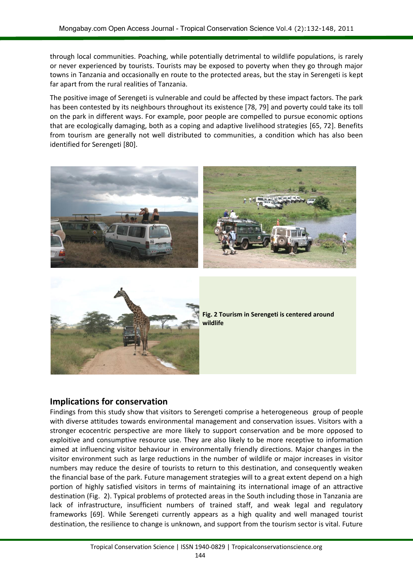through local communities. Poaching, while potentially detrimental to wildlife populations, is rarely or never experienced by tourists. Tourists may be exposed to poverty when they go through major towns in Tanzania and occasionally en route to the protected areas, but the stay in Serengeti is kept far apart from the rural realities of Tanzania.

The positive image of Serengeti is vulnerable and could be affected by these impact factors. The park has been contested by its neighbours throughout its existence [78, 79] and poverty could take its toll on the park in different ways. For example, poor people are compelled to pursue economic options that are ecologically damaging, both as a coping and adaptive livelihood strategies [65, 72]. Benefits from tourism are generally not well distributed to communities, a condition which has also been identified for Serengeti [80].



## **Implications for conservation**

Findings from this study show that visitors to Serengeti comprise a heterogeneous group of people with diverse attitudes towards environmental management and conservation issues. Visitors with a stronger ecocentric perspective are more likely to support conservation and be more opposed to exploitive and consumptive resource use. They are also likely to be more receptive to information aimed at influencing visitor behaviour in environmentally friendly directions. Major changes in the visitor environment such as large reductions in the number of wildlife or major increases in visitor numbers may reduce the desire of tourists to return to this destination, and consequently weaken the financial base of the park. Future management strategies will to a great extent depend on a high portion of highly satisfied visitors in terms of maintaining its international image of an attractive destination (Fig. 2). Typical problems of protected areas in the South including those in Tanzania are lack of infrastructure, insufficient numbers of trained staff, and weak legal and regulatory frameworks [69]. While Serengeti currently appears as a high quality and well managed tourist destination, the resilience to change is unknown, and support from the tourism sector is vital. Future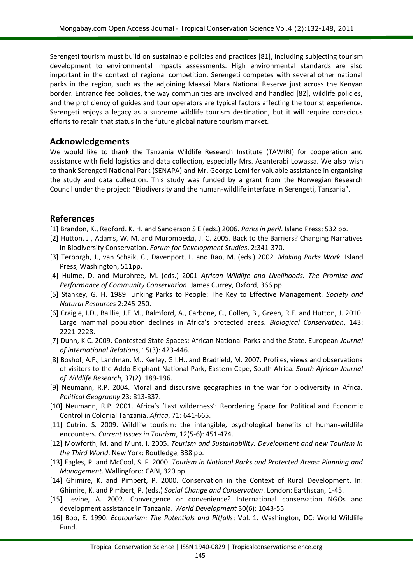Serengeti tourism must build on sustainable policies and practices [81], including subjecting tourism development to environmental impacts assessments. High environmental standards are also important in the context of regional competition. Serengeti competes with several other national parks in the region, such as the adjoining Maasai Mara National Reserve just across the Kenyan border. Entrance fee policies, the way communities are involved and handled [82], wildlife policies, and the proficiency of guides and tour operators are typical factors affecting the tourist experience. Serengeti enjoys a legacy as a supreme wildlife tourism destination, but it will require conscious efforts to retain that status in the future global nature tourism market.

## **Acknowledgements**

We would like to thank the Tanzania Wildlife Research Institute (TAWIRI) for cooperation and assistance with field logistics and data collection, especially Mrs. Asanterabi Lowassa. We also wish to thank Serengeti National Park (SENAPA) and Mr. George Lemi for valuable assistance in organising the study and data collection. This study was funded by a grant from the Norwegian Research Council under the project: "Biodiversity and the human-wildlife interface in Serengeti, Tanzania".

## **References**

- [1] Brandon, K., Redford. K. H. and Sanderson S E (eds.) 2006. *Parks in peril*. Island Press; 532 pp.
- [2] Hutton, J., Adams, W. M. and Murombedzi, J. C. 2005. Back to the Barriers? Changing Narratives in Biodiversity Conservation. *Forum for Development Studies*, 2:341-370.
- [3] Terborgh, J., van Schaik, C., Davenport, L. and Rao, M. (eds.) 2002. *Making Parks Work.* Island Press, Washington, 511pp.
- [4] Hulme, D. and Murphree, M. (eds.) 2001 *African Wildlife and Livelihoods. The Promise and Performance of Community Conservation*. James Currey, Oxford, 366 pp
- [5] Stankey, G. H. 1989. Linking Parks to People: The Key to Effective Management. *Society and Natural Resources* 2:245-250.
- [6] Craigie, I.D., Baillie, J.E.M., Balmford, A., Carbone, C., Collen, B., Green, R.E. and Hutton, J. 2010. Large mammal population declines in Africa's protected areas. *Biological Conservation*, 143: 2221-2228.
- [7] Dunn, K.C. 2009. Contested State Spaces: African National Parks and the State. European *Journal of International Relations*, 15(3): 423-446.
- [8] Boshof, A.F., Landman, M., Kerley, G.I.H., and Bradfield, M. 2007. Profiles, views and observations of visitors to the Addo Elephant National Park, Eastern Cape, South Africa. *South African Journal of Wildlife Research*, 37(2): 189-196.
- [9] Neumann, R.P. 2004. Moral and discursive geographies in the war for biodiversity in Africa. *Political Geography* 23: 813-837.
- [10] Neumann, R.P. 2001. Africa's 'Last wilderness': Reordering Space for Political and Economic Control in Colonial Tanzania. *Africa*, 71: 641-665.
- [11] Cutrin, S. 2009. Wildlife tourism: the intangible, psychological benefits of human-wildlife encounters. *Current Issues in Tourism*, 12(5-6): 451-474.
- [12] Mowforth, M. and Munt, I. 2005. *Tourism and Sustainability: Development and new Tourism in the Third World*. New York: Routledge, 338 pp.
- [13] Eagles, P. and McCool, S. F. 2000. *Tourism in National Parks and Protected Areas: Planning and Management*. Wallingford: CABI, 320 pp.
- [14] Ghimire, K. and Pimbert, P. 2000. Conservation in the Context of Rural Development. In: Ghimire, K. and Pimbert, P. (eds.) *Social Change and Conservation*. London: Earthscan, 1-45.
- [15] Levine, A. 2002. Convergence or convenience? International conservation NGOs and development assistance in Tanzania. *World Development* 30(6): 1043-55.
- [16] Boo, E. 1990. *Ecotourism: The Potentials and Pitfalls*; Vol. 1. Washington, DC: World Wildlife Fund.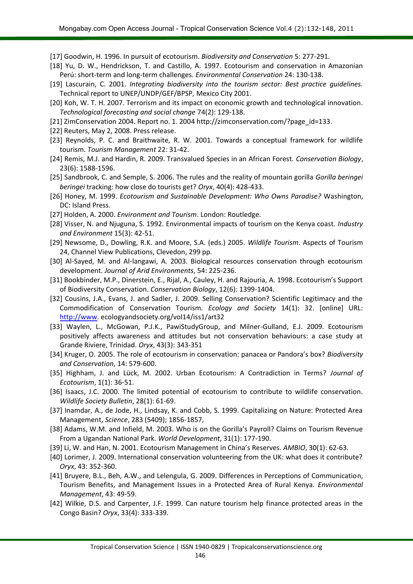[17] Goodwin, H. 1996. In pursuit of ecotourism. *Biodiversity and Conservation* 5: 277-291.

- [18] Yu, D. W., Hendrickson, T. and Castillo, A. 1997. Ecotourism and conservation in Amazonian Perú: short-term and long-term challenges. *Environmental Conservation* 24: 130-138.
- [19] Lascurain, C. 2001. *Integrating biodiversity into the tourism sector: Best practice guidelines.* Technical report to UNEP/UNDP/GEF/BPSP, Mexico City 2001.
- [20] Koh, W. T. H. 2007. Terrorism and its impact on economic growth and technological innovation. *Technological forecasting and social change* 74(2): 129-138.
- [21] ZimConservation 2004. Report no. 1. 2004 http://zimconservation.com/?page\_id=133.
- [22] Reuters, May 2, 2008. Press release.
- [23] Reynolds, P. C. and Braithwaite, R. W. 2001. Towards a conceptual framework for wildlife tourism. *Tourism Management* 22: 31-42.
- [24] Remis, M.J. and Hardin, R. 2009. Transvalued Species in an African Forest. *Conservation Biology*, 23(6): 1588-1596.
- [25] Sandbrook, C. and Semple, S. 2006. The rules and the reality of mountain gorilla *Gorilla beringei beringei* tracking: how close do tourists get? *Oryx*, 40(4): 428-433.
- [26] Honey, M. 1999. *Ecotourism and Sustainable Development: Who Owns Paradise?* Washington, DC: Island Press.
- [27] Holden, A. 2000. *Environment and Tourism*. London: Routledge.
- [28] Visser, N. and Njuguna, S. 1992. Environmental impacts of tourism on the Kenya coast. *Industry and Environment* 15(3): 42-51.
- [29] Newsome, D., Dowling, R.K. and Moore, S.A. (eds.) 2005. *Wildlife Tourism*. Aspects of Tourism 24, Channel View Publications, Clevedon, 299 pp.
- [30] Al-Sayed, M. and Al-langawi, A. 2003. Biological resources conservation through ecotourism development. *Journal of Arid Environments*, 54: 225-236.
- \*31+ Bookbinder, M.P., Dinerstein, E., Rijal, A., Cauley, H. and Rajouria, A. 1998. Ecotourism's Support of Biodiversity Conservation. *Conservation Biology*, 12(6): 1399-1404.
- [32] Cousins, J.A., Evans, J. and Sadler, J. 2009. Selling Conservation? Scientific Legitimacy and the Commodification of Conservation Tourism. *Ecology and Society* 14(1): 32. [online] URL: [http://www.](http://www/) ecologyandsociety.org/vol14/iss1/art32
- [33] Waylen, L., McGowan, P.J.K., PawiStudyGroup, and Milner-Gulland, E.J. 2009. Ecotourism positively affects awareness and attitudes but not conservation behaviours: a case study at Grande Riviere, Trinidad. *Oryx*, 43(3): 343-351
- \*34+ Kruger, O. 2005. The role of ecotourism in conservation: panacea or Pandora's box? *Biodiversity and Conservation*, 14: 579-600.
- [35] Highham, J. and Lück, M. 2002. Urban Ecotourism: A Contradiction in Terms? *Journal of Ecotourism*, 1(1): 36-51.
- [36] Isaacs, J.C. 2000. The limited potential of ecotourism to contribute to wildlife conservation. *Wildlife Society Bulletin*, 28(1): 61-69.
- [37] Inamdar, A., de Jode, H., Lindsay, K. and Cobb, S. 1999. Capitalizing on Nature: Protected Area Management, *Science*, 283 (5409); 1856-1857,
- [38] Adams, W.M. and Infield, M. 2003. Who is on the Gorilla's Payroll? Claims on Tourism Revenue From a Ugandan National Park. *World Development*, 31(1): 177-190.
- [39] Li, W. and Han, N. 2001. Ecotourism Management in China's Reserves. *AMBIO*, 30(1): 62-63.
- [40] Lorimer, J. 2009. International conservation volunteering from the UK: what does it contribute? *Oryx*, 43: 352-360.
- [41] Bruyere, B.L., Beh, A.W., and Lelengula, G. 2009. Differences in Perceptions of Communication, Tourism Benefits, and Management Issues in a Protected Area of Rural Kenya. *Environmental Management*, 43: 49-59.
- [42] Wilkie, D.S. and Carpenter, J.F. 1999. Can nature tourism help finance protected areas in the Congo Basin? *Oryx*, 33(4): 333-339.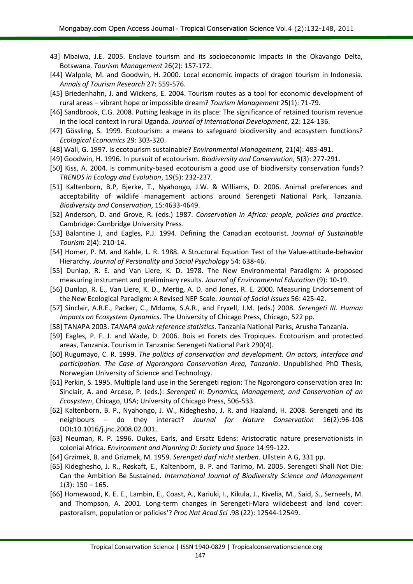- 43] Mbaiwa, J.E. 2005. Enclave tourism and its socioeconomic impacts in the Okavango Delta, Botswana. *Tourism Management* 26(2): 157-172.
- [44] Walpole, M. and Goodwin, H. 2000. Local economic impacts of dragon tourism in Indonesia. *Annals of Tourism Research* 27: 559-576.
- [45] Briedenhahn, J. and Wickens, E. 2004. Tourism routes as a tool for economic development of rural areas – vibrant hope or impossible dream? *Tourism Management* 25(1): 71-79.
- [46] Sandbrook, C.G. 2008. Putting leakage in its place: The significance of retained tourism revenue in the local context in rural Uganda. *Journal of International Development*, 22: 124-136.
- [47] Gössling, S. 1999. Ecotourism: a means to safeguard biodiversity and ecosystem functions? *Ecological Economics* 29: 303-320.
- [48] Wall, G. 1997. Is ecotourism sustainable? *Environmental Management*, 21(4): 483-491.
- [49] Goodwin, H. 1996. In pursuit of ecotourism. *Biodiversity and Conservation*, 5(3): 277-291.
- [50] Kiss, A. 2004. Is community-based ecotourism a good use of biodiversity conservation funds? *TRENDS in Ecology and Evolution*, 19(5): 232-237.
- [51] Kaltenborn, B.P, Bjerke, T., Nyahongo, J.W. & Williams, D. 2006. Animal preferences and acceptability of wildlife management actions around Serengeti National Park, Tanzania. *Biodiversity and Conservation*, 15:4633-4649.
- [52] Anderson, D. and Grove, R. (eds.) 1987. *Conservation in Africa: people, policies and practice*. Cambridge: Cambridge University Press.
- [53] Balantine J, and Eagles, P.J. 1994. Defining the Canadian ecotourist. *Journal of Sustainable Tourism* 2(4): 210-14.
- [54] Homer, P. M. and Kahle, L. R. 1988. A Structural Equation Test of the Value-attitude-behavior Hierarchy. *Journal of Personality and Social Psychology* 54: 638-46.
- [55] Dunlap, R. E. and Van Liere, K. D. 1978. The New Environmental Paradigm: A proposed measuring instrument and preliminary results. *Journal of Environmental Education* (9): 10-19.
- [56] Dunlap, R. E., Van Liere, K. D., Mertig, A. D. and Jones, R. E. 2000. Measuring Endorsement of the New Ecological Paradigm: A Revised NEP Scale. *Journal of Social Issues* 56: 425-42.
- [57] Sinclair, A.R.E., Packer, C., Mduma, S.A.R., and Fryxell, J.M. (eds.) 2008. *Serengeti III. Human Impacts on Ecosystem Dynamics*. The University of Chicago Press, Chicago, 522 pp.
- [58] TANAPA 2003. *TANAPA quick reference statistics*. Tanzania National Parks, Arusha Tanzania.
- [59] Eagles, P. F. J. and Wade, D. 2006. Bois et Forets des Tropiques. Ecotourism and protected areas, Tanzania. Tourism in Tanzania: Serengeti National Park 290(4).
- [60] Rugumayo, C. R. 1999. *The politics of conservation and development. On actors, interface and participation. The Case of Ngorongoro Conservation Area, Tanzania*. Unpublished PhD Thesis, Norwegian University of Science and Technology.
- [61] Perkin, S. 1995. Multiple land use in the Serengeti region: The Ngorongoro conservation area In: Sinclair, A. and Arcese, P. (eds.): *Serengeti II: Dynamics, Management, and Conservation of an Ecosystem*, Chicago, USA; University of Chicago Press, 506-533.
- [62] Kaltenborn, B. P., Nyahongo, J. W., Kideghesho, J. R. and Haaland, H. 2008. Serengeti and its neighbours – do they interact? *Journal for Nature Conservation* 16(2):96-108 DOI:10.1016/j.jnc.2008.02.001.
- [63] Neuman, R. P. 1996. Dukes, Earls, and Ersatz Edens: Aristocratic nature preservationists in colonial Africa. *Environment and Planning D: Society and Space* 14:99-122.
- [64] Grzimek, B. and Grizmek, M. 1959. *Serengeti darf nicht sterben*. Ullstein A G, 331 pp.
- [65] Kideghesho, J. R., Røskaft, E., Kaltenborn, B. P. and Tarimo, M. 2005. Serengeti Shall Not Die: Can the Ambition Be Sustained. *International Journal of Biodiversity Science and Management*  $1(3): 150 - 165.$
- [66] Homewood, K. E. E., Lambin, E., Coast, A., Kariuki, I., Kikula, J., Kivelia, M., Said, S., Serneels, M. and Thompson, A. 2001. Long-term changes in Serengeti-Mara wildebeest and land cover: pastoralism, population or policies'? *Proc Nat Acad Sci* .98 (22): 12544-12549.